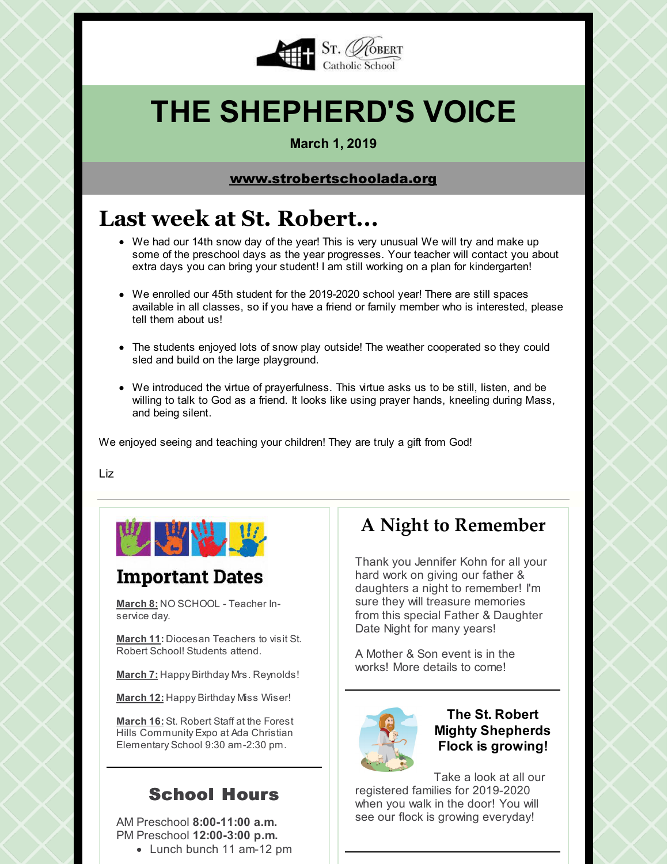

# **THE SHEPHERD'S VOICE**

#### **March 1, 2019**

### [www.strobertschoolada.org](http://strobertschoolada.org)

## **Last week at St. Robert...**

- We had our 14th snow day of the year! This is very unusual We will try and make up some of the preschool days as the year progresses. Your teacher will contact you about extra days you can bring your student! I am still working on a plan for kindergarten!
- We enrolled our 45th student for the 2019-2020 school year! There are still spaces available in all classes, so if you have a friend or family member who is interested, please tell them about us!
- The students enjoyed lots of snow play outside! The weather cooperated so they could sled and build on the large playground.
- We introduced the virtue of prayerfulness. This virtue asks us to be still, listen, and be willing to talk to God as a friend. It looks like using prayer hands, kneeling during Mass, and being silent.

We enjoyed seeing and teaching your children! They are truly a gift from God!

Liz



### **Important Dates**

**March 8:** NO SCHOOL - Teacher Inservice day.

**March 11:** Diocesan Teachers to visit St. Robert School! Students attend.

**March 7:** Happy Birthday Mrs. Reynolds!

**March 12:** Happy Birthday Miss Wiser!

**March 16:** St. Robert Staff at the Forest Hills Community Expo at Ada Christian Elementary School 9:30 am-2:30 pm.

### School Hours

AM Preschool **8:00-11:00 a.m.** PM Preschool **12:00-3:00 p.m.**

Lunch bunch 11 am-12 pm

### **A Night to Remember**

Thank you Jennifer Kohn for all your hard work on giving our father & daughters a night to remember! I'm sure they will treasure memories from this special Father & Daughter Date Night for many years!

A Mother & Son event is in the works! More details to come!



### **The St. Robert Mighty Shepherds Flock is growing!**

Take a look at all our registered families for 2019-2020 when you walk in the door! You will see our flock is growing everyday!